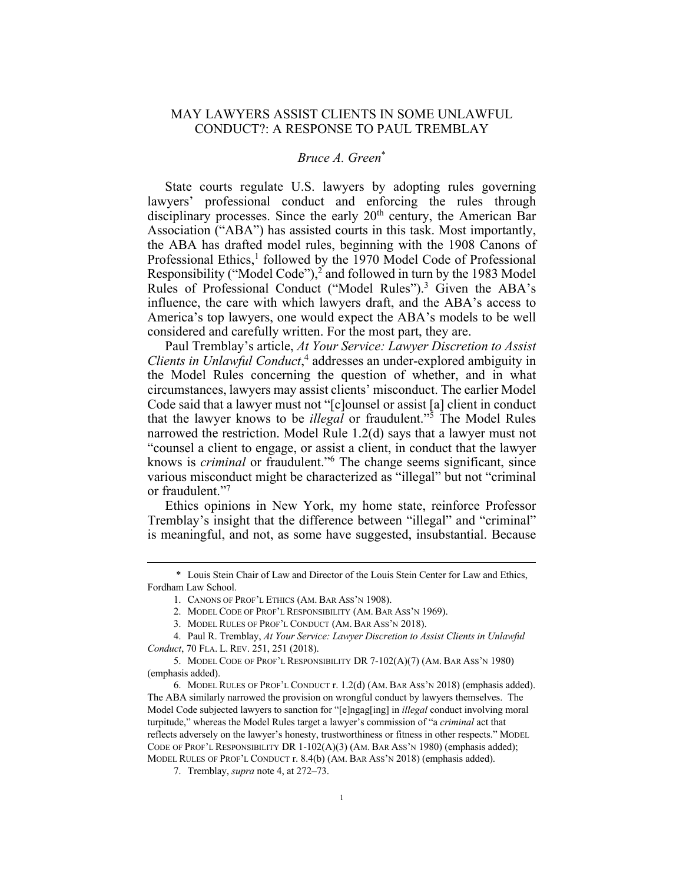## MAY LAWYERS ASSIST CLIENTS IN SOME UNLAWFUL CONDUCT?: A RESPONSE TO PAUL TREMBLAY

## *Bruce A. Green*\*

State courts regulate U.S. lawyers by adopting rules governing lawyers' professional conduct and enforcing the rules through disciplinary processes. Since the early  $20<sup>th</sup>$  century, the American Bar Association ("ABA") has assisted courts in this task. Most importantly, the ABA has drafted model rules, beginning with the 1908 Canons of Professional Ethics,<sup>1</sup> followed by the 1970 Model Code of Professional Responsibility ("Model Code"),<sup>2</sup> and followed in turn by the 1983 Model Rules of Professional Conduct ("Model Rules").<sup>3</sup> Given the ABA's influence, the care with which lawyers draft, and the ABA's access to America's top lawyers, one would expect the ABA's models to be well considered and carefully written. For the most part, they are.

Paul Tremblay's article, *At Your Service: Lawyer Discretion to Assist Clients in Unlawful Conduct*, <sup>4</sup> addresses an under-explored ambiguity in the Model Rules concerning the question of whether, and in what circumstances, lawyers may assist clients' misconduct. The earlier Model Code said that a lawyer must not "[c]ounsel or assist [a] client in conduct that the lawyer knows to be *illegal* or fraudulent."5 The Model Rules narrowed the restriction. Model Rule 1.2(d) says that a lawyer must not "counsel a client to engage, or assist a client, in conduct that the lawyer knows is *criminal* or fraudulent."6 The change seems significant, since various misconduct might be characterized as "illegal" but not "criminal or fraudulent."7

Ethics opinions in New York, my home state, reinforce Professor Tremblay's insight that the difference between "illegal" and "criminal" is meaningful, and not, as some have suggested, insubstantial. Because

 <sup>\*</sup> Louis Stein Chair of Law and Director of the Louis Stein Center for Law and Ethics, Fordham Law School.

<sup>1.</sup> CANONS OF PROF'L ETHICS (AM. BAR ASS'N 1908).

<sup>2.</sup> MODEL CODE OF PROF'L RESPONSIBILITY (AM. BAR ASS'N 1969).

<sup>3.</sup> MODEL RULES OF PROF'L CONDUCT (AM. BAR ASS'N 2018).

<sup>4.</sup> Paul R. Tremblay, *At Your Service: Lawyer Discretion to Assist Clients in Unlawful Conduct*, 70 FLA. L. REV. 251, 251 (2018).

<sup>5.</sup> MODEL CODE OF PROF'L RESPONSIBILITY DR 7-102(A)(7) (AM. BAR ASS'N 1980) (emphasis added).

<sup>6.</sup> MODEL RULES OF PROF'L CONDUCT r. 1.2(d) (AM. BAR ASS'N 2018) (emphasis added). The ABA similarly narrowed the provision on wrongful conduct by lawyers themselves. The Model Code subjected lawyers to sanction for "[e]ngag[ing] in *illegal* conduct involving moral turpitude," whereas the Model Rules target a lawyer's commission of "a *criminal* act that reflects adversely on the lawyer's honesty, trustworthiness or fitness in other respects." MODEL CODE OF PROF'L RESPONSIBILITY DR 1-102(A)(3) (AM. BAR ASS'N 1980) (emphasis added); MODEL RULES OF PROF'L CONDUCT r. 8.4(b) (AM. BAR ASS'N 2018) (emphasis added).

<sup>7.</sup> Tremblay, *supra* note 4, at 272–73.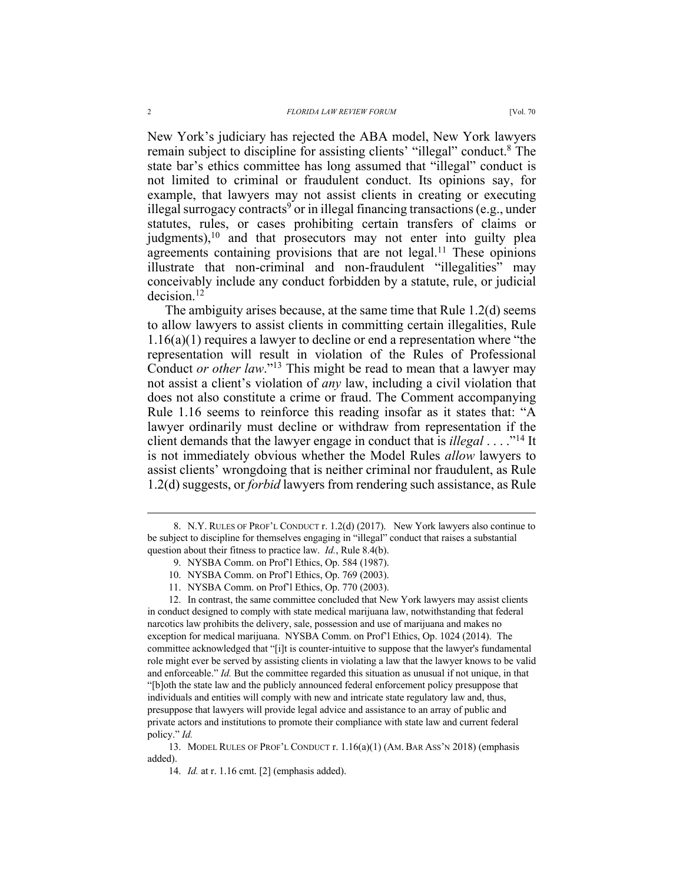New York's judiciary has rejected the ABA model, New York lawyers remain subject to discipline for assisting clients' "illegal" conduct.8 The state bar's ethics committee has long assumed that "illegal" conduct is not limited to criminal or fraudulent conduct. Its opinions say, for example, that lawyers may not assist clients in creating or executing illegal surrogacy contracts<sup>9</sup> or in illegal financing transactions (e.g., under statutes, rules, or cases prohibiting certain transfers of claims or judgments), $10$  and that prosecutors may not enter into guilty plea agreements containing provisions that are not legal.<sup>11</sup> These opinions illustrate that non-criminal and non-fraudulent "illegalities" may conceivably include any conduct forbidden by a statute, rule, or judicial decision.12

The ambiguity arises because, at the same time that Rule 1.2(d) seems to allow lawyers to assist clients in committing certain illegalities, Rule 1.16(a)(1) requires a lawyer to decline or end a representation where "the representation will result in violation of the Rules of Professional Conduct *or other law*."13 This might be read to mean that a lawyer may not assist a client's violation of *any* law, including a civil violation that does not also constitute a crime or fraud. The Comment accompanying Rule 1.16 seems to reinforce this reading insofar as it states that: "A lawyer ordinarily must decline or withdraw from representation if the client demands that the lawyer engage in conduct that is *illegal* . . . ."14 It is not immediately obvious whether the Model Rules *allow* lawyers to assist clients' wrongdoing that is neither criminal nor fraudulent, as Rule 1.2(d) suggests, or *forbid* lawyers from rendering such assistance, as Rule

 <sup>8.</sup> N.Y. RULES OF PROF'L CONDUCT r. 1.2(d) (2017). New York lawyers also continue to be subject to discipline for themselves engaging in "illegal" conduct that raises a substantial question about their fitness to practice law. *Id.*, Rule 8.4(b).

<sup>9.</sup> NYSBA Comm. on Prof'l Ethics, Op. 584 (1987).

<sup>10.</sup> NYSBA Comm. on Prof'l Ethics, Op. 769 (2003).

<sup>11.</sup> NYSBA Comm. on Prof'l Ethics, Op. 770 (2003).

<sup>12.</sup> In contrast, the same committee concluded that New York lawyers may assist clients in conduct designed to comply with state medical marijuana law, notwithstanding that federal narcotics law prohibits the delivery, sale, possession and use of marijuana and makes no exception for medical marijuana. NYSBA Comm. on Prof'l Ethics, Op. 1024 (2014). The committee acknowledged that "[i]t is counter-intuitive to suppose that the lawyer's fundamental role might ever be served by assisting clients in violating a law that the lawyer knows to be valid and enforceable." *Id.* But the committee regarded this situation as unusual if not unique, in that "[b]oth the state law and the publicly announced federal enforcement policy presuppose that individuals and entities will comply with new and intricate state regulatory law and, thus, presuppose that lawyers will provide legal advice and assistance to an array of public and private actors and institutions to promote their compliance with state law and current federal policy." *Id.* 

<sup>13.</sup> MODEL RULES OF PROF'L CONDUCT r. 1.16(a)(1) (AM. BAR ASS'N 2018) (emphasis added).

<sup>14.</sup> *Id.* at r. 1.16 cmt. [2] (emphasis added).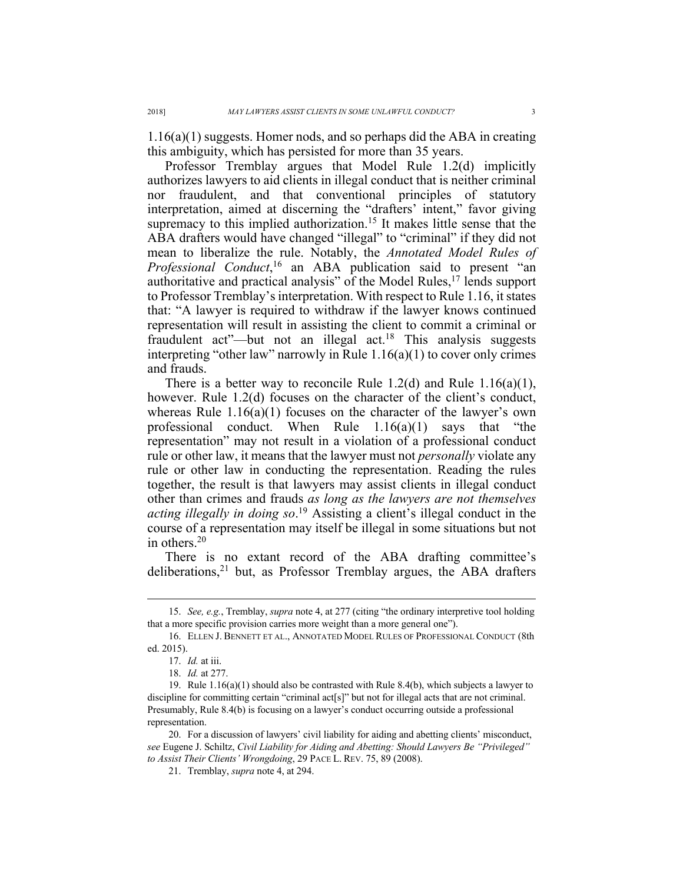1.16(a)(1) suggests. Homer nods, and so perhaps did the ABA in creating this ambiguity, which has persisted for more than 35 years.

Professor Tremblay argues that Model Rule 1.2(d) implicitly authorizes lawyers to aid clients in illegal conduct that is neither criminal nor fraudulent, and that conventional principles of statutory interpretation, aimed at discerning the "drafters' intent," favor giving supremacy to this implied authorization.<sup>15</sup> It makes little sense that the ABA drafters would have changed "illegal" to "criminal" if they did not mean to liberalize the rule. Notably, the *Annotated Model Rules of Professional Conduct*, <sup>16</sup> an ABA publication said to present "an authoritative and practical analysis" of the Model Rules,<sup>17</sup> lends support to Professor Tremblay's interpretation. With respect to Rule 1.16, it states that: "A lawyer is required to withdraw if the lawyer knows continued representation will result in assisting the client to commit a criminal or fraudulent act"—but not an illegal act.<sup>18</sup> This analysis suggests interpreting "other law" narrowly in Rule 1.16(a)(1) to cover only crimes and frauds.

There is a better way to reconcile Rule 1.2(d) and Rule  $1.16(a)(1)$ , however. Rule 1.2(d) focuses on the character of the client's conduct, whereas Rule 1.16(a)(1) focuses on the character of the lawyer's own professional conduct. When Rule 1.16(a)(1) says that "the representation" may not result in a violation of a professional conduct rule or other law, it means that the lawyer must not *personally* violate any rule or other law in conducting the representation. Reading the rules together, the result is that lawyers may assist clients in illegal conduct other than crimes and frauds *as long as the lawyers are not themselves acting illegally in doing so*. <sup>19</sup> Assisting a client's illegal conduct in the course of a representation may itself be illegal in some situations but not in others.20

There is no extant record of the ABA drafting committee's deliberations, $21$  but, as Professor Tremblay argues, the ABA drafters

 <sup>15.</sup> *See, e.g.*, Tremblay, *supra* note 4, at 277 (citing "the ordinary interpretive tool holding that a more specific provision carries more weight than a more general one").

<sup>16.</sup> ELLEN J. BENNETT ET AL., ANNOTATED MODEL RULES OF PROFESSIONAL CONDUCT (8th ed. 2015).

<sup>17.</sup> *Id.* at iii.

<sup>18.</sup> *Id.* at 277.

<sup>19.</sup> Rule 1.16(a)(1) should also be contrasted with Rule 8.4(b), which subjects a lawyer to discipline for committing certain "criminal act[s]" but not for illegal acts that are not criminal. Presumably, Rule 8.4(b) is focusing on a lawyer's conduct occurring outside a professional representation.

<sup>20.</sup> For a discussion of lawyers' civil liability for aiding and abetting clients' misconduct, *see* Eugene J. Schiltz, *Civil Liability for Aiding and Abetting: Should Lawyers Be "Privileged" to Assist Their Clients' Wrongdoing*, 29 PACE L. REV. 75, 89 (2008).

<sup>21.</sup> Tremblay, *supra* note 4, at 294.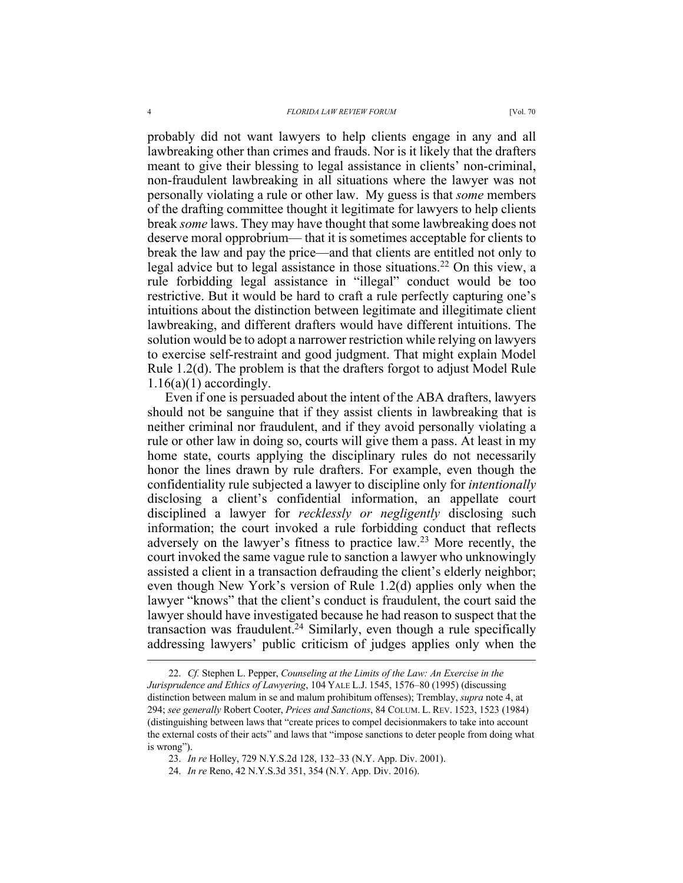probably did not want lawyers to help clients engage in any and all lawbreaking other than crimes and frauds. Nor is it likely that the drafters meant to give their blessing to legal assistance in clients' non-criminal, non-fraudulent lawbreaking in all situations where the lawyer was not personally violating a rule or other law. My guess is that *some* members of the drafting committee thought it legitimate for lawyers to help clients break *some* laws. They may have thought that some lawbreaking does not deserve moral opprobrium— that it is sometimes acceptable for clients to break the law and pay the price—and that clients are entitled not only to legal advice but to legal assistance in those situations.<sup>22</sup> On this view, a rule forbidding legal assistance in "illegal" conduct would be too restrictive. But it would be hard to craft a rule perfectly capturing one's intuitions about the distinction between legitimate and illegitimate client lawbreaking, and different drafters would have different intuitions. The solution would be to adopt a narrower restriction while relying on lawyers

Rule 1.2(d). The problem is that the drafters forgot to adjust Model Rule  $1.16(a)(1)$  accordingly. Even if one is persuaded about the intent of the ABA drafters, lawyers should not be sanguine that if they assist clients in lawbreaking that is neither criminal nor fraudulent, and if they avoid personally violating a rule or other law in doing so, courts will give them a pass. At least in my home state, courts applying the disciplinary rules do not necessarily honor the lines drawn by rule drafters. For example, even though the confidentiality rule subjected a lawyer to discipline only for *intentionally* disclosing a client's confidential information, an appellate court disciplined a lawyer for *recklessly or negligently* disclosing such information; the court invoked a rule forbidding conduct that reflects adversely on the lawyer's fitness to practice law.23 More recently, the court invoked the same vague rule to sanction a lawyer who unknowingly assisted a client in a transaction defrauding the client's elderly neighbor; even though New York's version of Rule 1.2(d) applies only when the lawyer "knows" that the client's conduct is fraudulent, the court said the lawyer should have investigated because he had reason to suspect that the transaction was fraudulent.<sup>24</sup> Similarly, even though a rule specifically addressing lawyers' public criticism of judges applies only when the

to exercise self-restraint and good judgment. That might explain Model

 <sup>22.</sup> *Cf.* Stephen L. Pepper, *Counseling at the Limits of the Law: An Exercise in the Jurisprudence and Ethics of Lawyering*, 104 YALE L.J. 1545, 1576–80 (1995) (discussing distinction between malum in se and malum prohibitum offenses); Tremblay, *supra* note 4, at 294; *see generally* Robert Cooter, *Prices and Sanctions*, 84 COLUM. L. REV. 1523, 1523 (1984) (distinguishing between laws that "create prices to compel decisionmakers to take into account the external costs of their acts" and laws that "impose sanctions to deter people from doing what is wrong").

<sup>23.</sup> *In re* Holley, 729 N.Y.S.2d 128, 132–33 (N.Y. App. Div. 2001).

<sup>24.</sup> *In re* Reno, 42 N.Y.S.3d 351, 354 (N.Y. App. Div. 2016).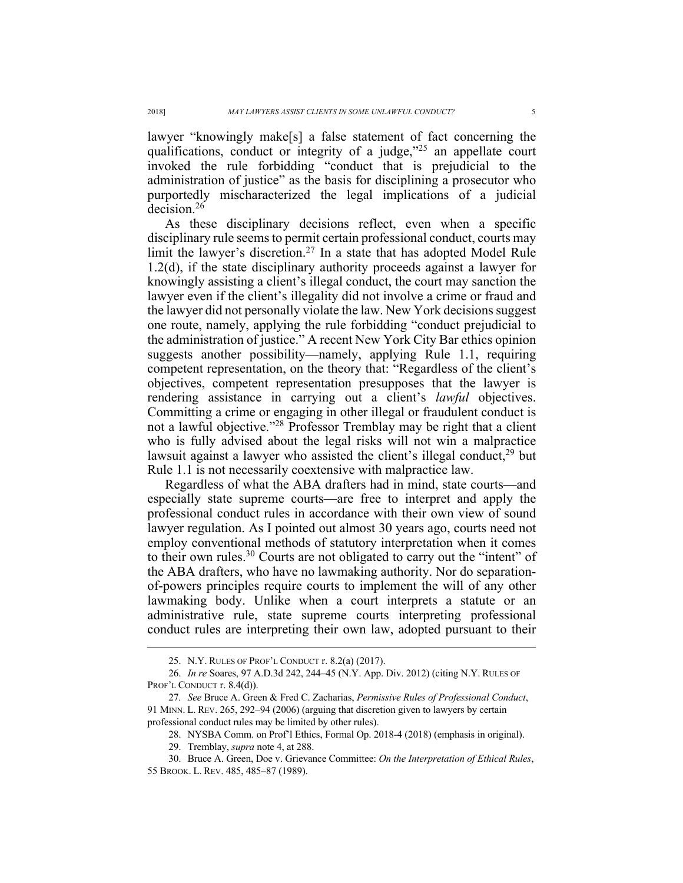lawyer "knowingly make[s] a false statement of fact concerning the qualifications, conduct or integrity of a judge, $"^{25}$  an appellate court invoked the rule forbidding "conduct that is prejudicial to the administration of justice" as the basis for disciplining a prosecutor who purportedly mischaracterized the legal implications of a judicial decision.26

As these disciplinary decisions reflect, even when a specific disciplinary rule seems to permit certain professional conduct, courts may limit the lawyer's discretion.27 In a state that has adopted Model Rule 1.2(d), if the state disciplinary authority proceeds against a lawyer for knowingly assisting a client's illegal conduct, the court may sanction the lawyer even if the client's illegality did not involve a crime or fraud and the lawyer did not personally violate the law. New York decisions suggest one route, namely, applying the rule forbidding "conduct prejudicial to the administration of justice." A recent New York City Bar ethics opinion suggests another possibility—namely, applying Rule 1.1, requiring competent representation, on the theory that: "Regardless of the client's objectives, competent representation presupposes that the lawyer is rendering assistance in carrying out a client's *lawful* objectives. Committing a crime or engaging in other illegal or fraudulent conduct is not a lawful objective."28 Professor Tremblay may be right that a client who is fully advised about the legal risks will not win a malpractice lawsuit against a lawyer who assisted the client's illegal conduct, $29$  but Rule 1.1 is not necessarily coextensive with malpractice law.

Regardless of what the ABA drafters had in mind, state courts—and especially state supreme courts—are free to interpret and apply the professional conduct rules in accordance with their own view of sound lawyer regulation. As I pointed out almost 30 years ago, courts need not employ conventional methods of statutory interpretation when it comes to their own rules.<sup>30</sup> Courts are not obligated to carry out the "intent" of the ABA drafters, who have no lawmaking authority. Nor do separationof-powers principles require courts to implement the will of any other lawmaking body. Unlike when a court interprets a statute or an administrative rule, state supreme courts interpreting professional conduct rules are interpreting their own law, adopted pursuant to their

 <sup>25.</sup> N.Y. RULES OF PROF'L CONDUCT r. 8.2(a) (2017).

<sup>26.</sup> *In re* Soares, 97 A.D.3d 242, 244–45 (N.Y. App. Div. 2012) (citing N.Y. RULES OF PROF'L CONDUCT r. 8.4(d)).

<sup>27</sup>*. See* Bruce A. Green & Fred C. Zacharias, *Permissive Rules of Professional Conduct*, 91 MINN. L. REV. 265, 292–94 (2006) (arguing that discretion given to lawyers by certain professional conduct rules may be limited by other rules).

<sup>28.</sup> NYSBA Comm. on Prof'l Ethics, Formal Op. 2018-4 (2018) (emphasis in original).

<sup>29.</sup> Tremblay, *supra* note 4, at 288.

<sup>30.</sup> Bruce A. Green, Doe v. Grievance Committee: *On the Interpretation of Ethical Rules*, 55 BROOK. L. REV. 485, 485–87 (1989).